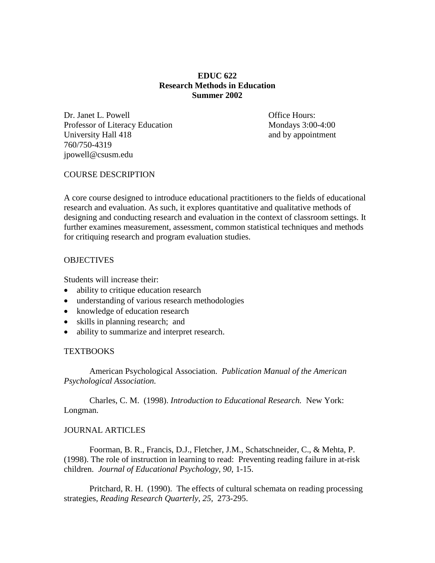## **EDUC 622 Research Methods in Education Summer 2002**

Dr. Janet L. Powell **Dr. Janet L. Powell Office Hours:** Professor of Literacy Education Mondays 3:00-4:00 University Hall 418 and by appointment 760/750-4319 jpowell@csusm.edu

#### COURSE DESCRIPTION

A core course designed to introduce educational practitioners to the fields of educational research and evaluation. As such, it explores quantitative and qualitative methods of designing and conducting research and evaluation in the context of classroom settings. It further examines measurement, assessment, common statistical techniques and methods for critiquing research and program evaluation studies.

### **OBJECTIVES**

Students will increase their:

- ability to critique education research
- understanding of various research methodologies
- knowledge of education research
- skills in planning research; and
- ability to summarize and interpret research.

#### **TEXTBOOKS**

American Psychological Association. *Publication Manual of the American Psychological Association.*

Charles, C. M. (1998). *Introduction to Educational Research.* New York: Longman.

#### JOURNAL ARTICLES

Foorman, B. R., Francis, D.J., Fletcher, J.M., Schatschneider, C., & Mehta, P. (1998). The role of instruction in learning to read: Preventing reading failure in at-risk children. *Journal of Educational Psychology, 90,* 1-15.

Pritchard, R. H. (1990). The effects of cultural schemata on reading processing strategies, *Reading Research Quarterly, 25,* 273-295.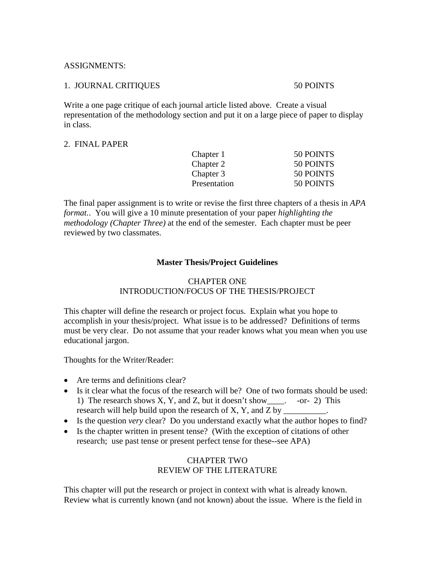### ASSIGNMENTS:

### 1. JOURNAL CRITIQUES 50 POINTS

Write a one page critique of each journal article listed above. Create a visual representation of the methodology section and put it on a large piece of paper to display in class.

#### 2. FINAL PAPER

| 50 POINTS |
|-----------|
| 50 POINTS |
| 50 POINTS |
| 50 POINTS |
|           |

The final paper assignment is to write or revise the first three chapters of a thesis in *APA format.*. You will give a 10 minute presentation of your paper *highlighting the methodology (Chapter Three)* at the end of the semester. Each chapter must be peer reviewed by two classmates.

#### **Master Thesis/Project Guidelines**

## CHAPTER ONE INTRODUCTION/FOCUS OF THE THESIS/PROJECT

This chapter will define the research or project focus. Explain what you hope to accomplish in your thesis/project. What issue is to be addressed? Definitions of terms must be very clear. Do not assume that your reader knows what you mean when you use educational jargon.

Thoughts for the Writer/Reader:

- Are terms and definitions clear?
- Is it clear what the focus of the research will be? One of two formats should be used: 1) The research shows X, Y, and Z, but it doesn't show\_\_\_\_. -or- 2) This research will help build upon the research of  $X$ ,  $Y$ , and  $Z$  by
- Is the question *very* clear? Do you understand exactly what the author hopes to find?
- Is the chapter written in present tense? (With the exception of citations of other research; use past tense or present perfect tense for these--see APA)

# CHAPTER TWO REVIEW OF THE LITERATURE

This chapter will put the research or project in context with what is already known. Review what is currently known (and not known) about the issue. Where is the field in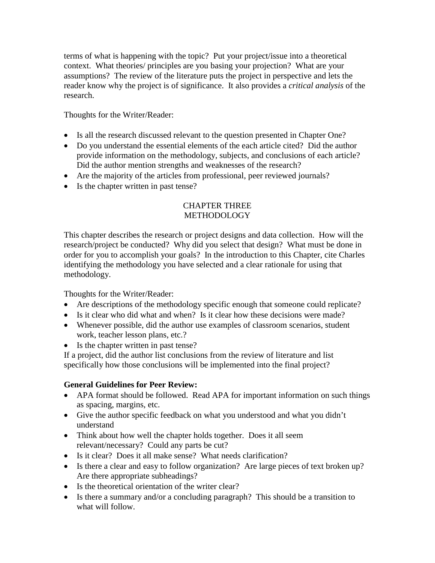terms of what is happening with the topic? Put your project/issue into a theoretical context. What theories/ principles are you basing your projection? What are your assumptions? The review of the literature puts the project in perspective and lets the reader know why the project is of significance. It also provides a *critical analysis* of the research.

Thoughts for the Writer/Reader:

- Is all the research discussed relevant to the question presented in Chapter One?
- Do you understand the essential elements of the each article cited? Did the author provide information on the methodology, subjects, and conclusions of each article? Did the author mention strengths and weaknesses of the research?
- Are the majority of the articles from professional, peer reviewed journals?
- Is the chapter written in past tense?

# CHAPTER THREE METHODOLOGY

This chapter describes the research or project designs and data collection. How will the research/project be conducted? Why did you select that design? What must be done in order for you to accomplish your goals? In the introduction to this Chapter, cite Charles identifying the methodology you have selected and a clear rationale for using that methodology.

Thoughts for the Writer/Reader:

- Are descriptions of the methodology specific enough that someone could replicate?
- Is it clear who did what and when? Is it clear how these decisions were made?
- Whenever possible, did the author use examples of classroom scenarios, student work, teacher lesson plans, etc.?
- Is the chapter written in past tense?

If a project, did the author list conclusions from the review of literature and list specifically how those conclusions will be implemented into the final project?

# **General Guidelines for Peer Review:**

- APA format should be followed. Read APA for important information on such things as spacing, margins, etc.
- Give the author specific feedback on what you understood and what you didn't understand
- Think about how well the chapter holds together. Does it all seem relevant/necessary? Could any parts be cut?
- Is it clear? Does it all make sense? What needs clarification?
- Is there a clear and easy to follow organization? Are large pieces of text broken up? Are there appropriate subheadings?
- Is the theoretical orientation of the writer clear?
- Is there a summary and/or a concluding paragraph? This should be a transition to what will follow.